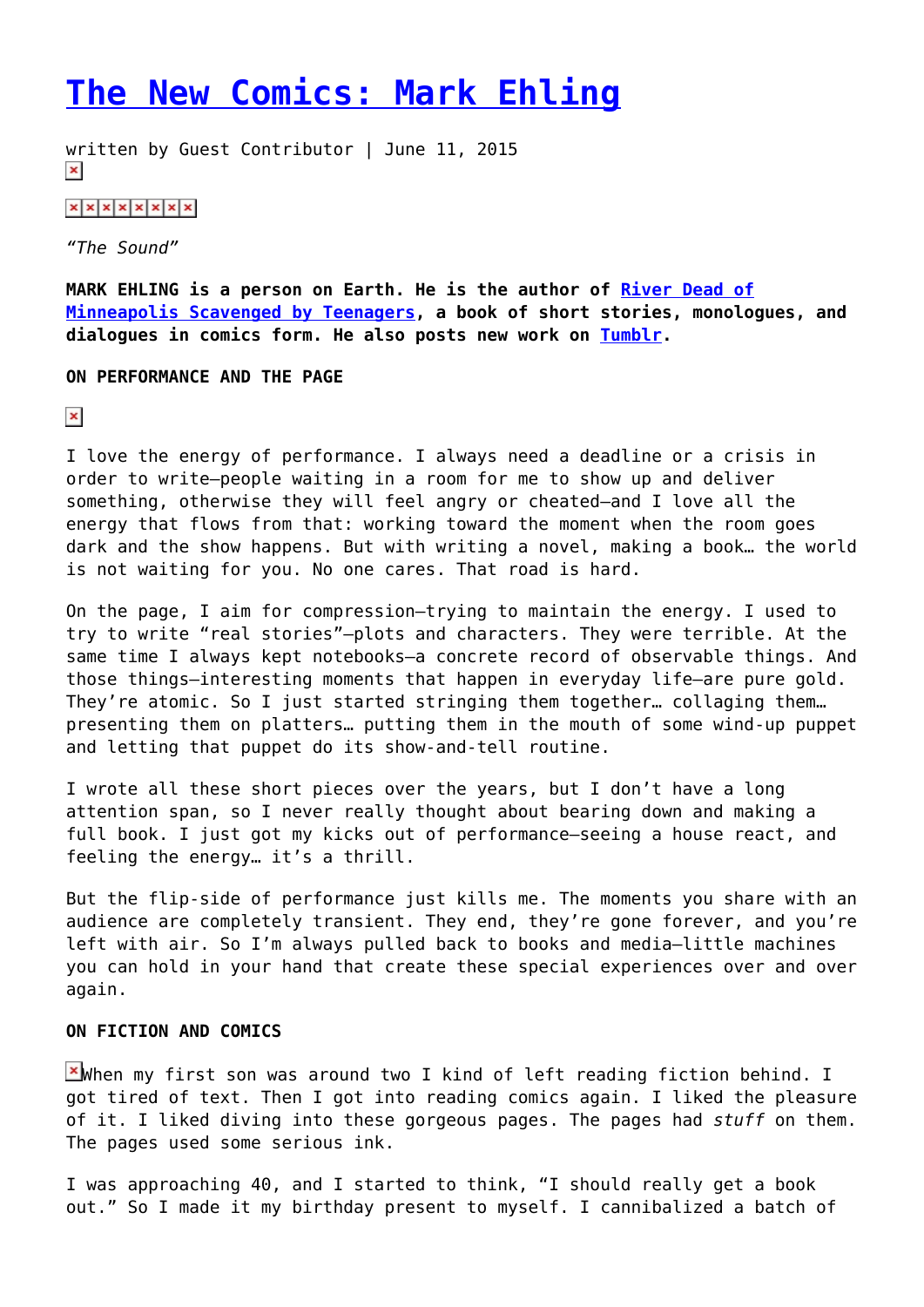## **[The New Comics: Mark Ehling](https://entropymag.org/the-new-comics-mark-ehling/)**

written by Guest Contributor | June 11, 2015  $\pmb{\times}$ 

 $x \times x \times x \times x$ 

*"The Sound"*

**MARK EHLING is a person on Earth. He is the author of [River Dead of](http://newcarriage.tumblr.com/store#!/River-Dead-of-Minneapolis-Scavenged-by-Teenagers/p/47258584/category=0) [Minneapolis Scavenged by Teenagers,](http://newcarriage.tumblr.com/store#!/River-Dead-of-Minneapolis-Scavenged-by-Teenagers/p/47258584/category=0) a book of short stories, monologues, and dialogues in comics form. He also posts new work on [Tumblr.](http://newcarriage.tumblr.com/)**

**ON PERFORMANCE AND THE PAGE**

 $\pmb{\times}$ 

I love the energy of performance. I always need a deadline or a crisis in order to write—people waiting in a room for me to show up and deliver something, otherwise they will feel angry or cheated—and I love all the energy that flows from that: working toward the moment when the room goes dark and the show happens. But with writing a novel, making a book… the world is not waiting for you. No one cares. That road is hard.

On the page, I aim for compression—trying to maintain the energy. I used to try to write "real stories"—plots and characters. They were terrible. At the same time I always kept notebooks—a concrete record of observable things. And those things—interesting moments that happen in everyday life—are pure gold. They're atomic. So I just started stringing them together… collaging them… presenting them on platters… putting them in the mouth of some wind-up puppet and letting that puppet do its show-and-tell routine.

I wrote all these short pieces over the years, but I don't have a long attention span, so I never really thought about bearing down and making a full book. I just got my kicks out of performance—seeing a house react, and feeling the energy… it's a thrill.

But the flip-side of performance just kills me. The moments you share with an audience are completely transient. They end, they're gone forever, and you're left with air. So I'm always pulled back to books and media—little machines you can hold in your hand that create these special experiences over and over again.

## **ON FICTION AND COMICS**

E When my first son was around two I kind of left reading fiction behind. I got tired of text. Then I got into reading comics again. I liked the pleasure of it. I liked diving into these gorgeous pages. The pages had *stuff* on them. The pages used some serious ink.

I was approaching 40, and I started to think, "I should really get a book out." So I made it my birthday present to myself. I cannibalized a batch of